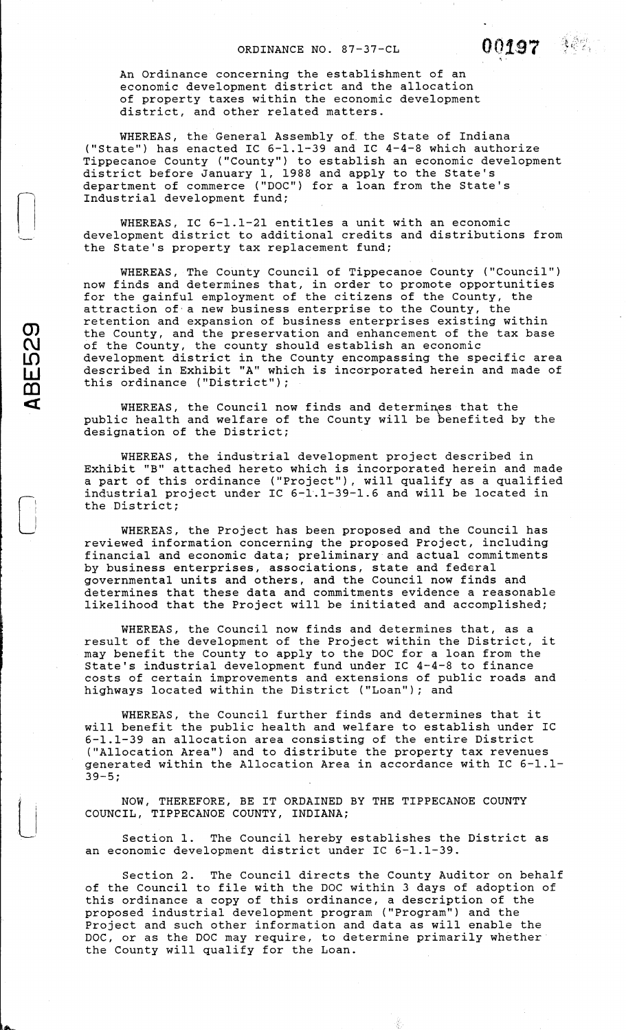An Ordinance concerning the establishment of an economic development district and the allocation of property taxes within the economic development district, and other related matters.

 $\bigcup$ 

**m C\J** 

**LD w** 

**CD C(** 

 $\begin{bmatrix} 1 \\ 1 \\ 1 \end{bmatrix}$ 

 $\begin{picture}(20,20) \put(0,0){\line(1,0){10}} \put(15,0){\line(1,0){10}} \put(15,0){\line(1,0){10}} \put(15,0){\line(1,0){10}} \put(15,0){\line(1,0){10}} \put(15,0){\line(1,0){10}} \put(15,0){\line(1,0){10}} \put(15,0){\line(1,0){10}} \put(15,0){\line(1,0){10}} \put(15,0){\line(1,0){10}} \put(15,0){\line(1,0){10}} \put(15,0){\line(1$ 

WHEREAS, the General Assembly of the State of Indiana ("State") has enacted IC 6-1.1-39 and IC 4-4-8 which authorize Tippecanoe County ("County") to establish an economic development district before January l, 1988 and apply to the State's department of commerce ("DOC") for a loan from the State's Industrial development fund;

WHEREAS, IC 6-1.1-21 entitles a unit with an economic development district to additional credits and distributions from the State's property tax replacement fund;

WHEREAS, The County Council of Tippecanoe County ("Council") now finds and determines that, in order to promote opportunities for the gainful employment of the citizens of the County, the attraction of· a new business enterprise to the County, the retention and expansion of business enterprises existing within the County, and the preservation and enhancement of the tax base of the County, the county should establish an economic development district in the County encompassing the specific area described in Exhibit "A" which is incorporated herein and made of this ordinance ("District");

WHEREAS, the Council now finds and determines that the public health and welfare of the County will be benefited by the designation of the District;

WHEREAS, the industrial development project described in Exhibit "B" attached hereto which is incorporated herein and made a part of this ordinance ("Project"), will qualify as a qualified industrial project under IC 6-l·.1-39-1.6 and will be located in the District;

WHEREAS, the Project has been proposed and the Council has reviewed information concerning the proposed Project, including financial and economic data; preliminary and actual commitments by business enterprises, associations, state and federal governmental units and others, and the Council now finds and determines that these data and commitments evidence a reasonable likelihood that the Project will be initiated and accomplished;

WHEREAS, the Council now finds and determines that, as a result of the development of the Project within the District, it may benefit the County to apply to the DOC for a loan from the may benefite the county to apply to the Boo for a four from the costs of certain improvements and extensions of public roads and highways located within the District ("Loan"); and

WHEREAS, the Council further finds and determines that it will benefit the public health and welfare to establish under IC 6-1.1-39 an allocation area consisting of the entire District ("Allocation Area") and to distribute the property tax revenues generated within the Allocation Area in accordance with IC 6-1.1- 39-5;

NOW, THEREFORE, BE IT ORDAINED BY THE TIPPECANOE COUNTY COUNCIL, TIPPECANOE COUNTY, INDIANA;

Section 1. The Council hereby establishes the District as an economic development district under IC 6-1.1-39.

Section 2. The Council directs the County Auditor on behalf of the Council to file with the DOC within 3 days of adoption of this ordinance a copy of this ordinance, a description of the proposed industrial development program ("Program") and the Project and such other information and data as will enable the DOC, or as the DOC may require, to determine primarily whether the County will qualify for the Loan.